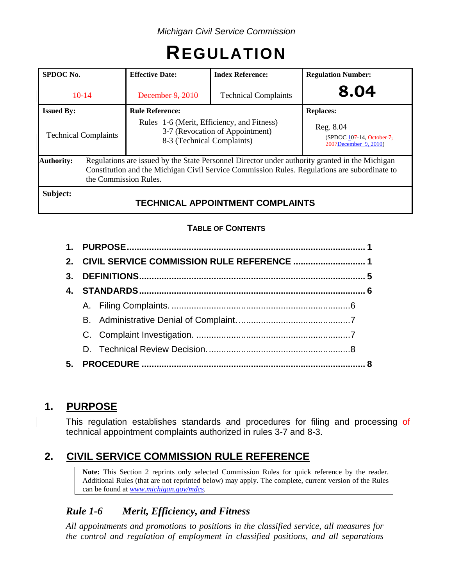# **REGULATION**

| SPDOC No.                   | <b>Effective Date:</b>                                                                                                                                                                                                  | <b>Index Reference:</b>                 | <b>Regulation Number:</b>                                       |  |  |
|-----------------------------|-------------------------------------------------------------------------------------------------------------------------------------------------------------------------------------------------------------------------|-----------------------------------------|-----------------------------------------------------------------|--|--|
| $+0-14$                     | December 9, 2010                                                                                                                                                                                                        | <b>Technical Complaints</b>             | 8.04                                                            |  |  |
| <b>Issued By:</b>           | <b>Rule Reference:</b>                                                                                                                                                                                                  |                                         | <b>Replaces:</b>                                                |  |  |
| <b>Technical Complaints</b> | Rules 1-6 (Merit, Efficiency, and Fitness)<br>3-7 (Revocation of Appointment)<br>8-3 (Technical Complaints)                                                                                                             |                                         | Reg. 8.04<br>(SPDOC 107-14, October 7,<br>2007December 9, 2010) |  |  |
| <b>Authority:</b>           | Regulations are issued by the State Personnel Director under authority granted in the Michigan<br>Constitution and the Michigan Civil Service Commission Rules. Regulations are subordinate to<br>the Commission Rules. |                                         |                                                                 |  |  |
| Subject:                    |                                                                                                                                                                                                                         | <b>TECHNICAL APPOINTMENT COMPLAINTS</b> |                                                                 |  |  |

# **TABLE OF CONTENTS**

| $3_{-}$ |  |  |  |
|---------|--|--|--|
|         |  |  |  |
|         |  |  |  |
|         |  |  |  |
|         |  |  |  |
|         |  |  |  |
| 5.      |  |  |  |

# **1. PURPOSE**

This regulation establishes standards and procedures for filing and processing of technical appointment complaints authorized in rules 3-7 and 8-3.

# **2. CIVIL SERVICE COMMISSION RULE REFERENCE**

**Note:** This Section 2 reprints only selected Commission Rules for quick reference by the reader. Additional Rules (that are not reprinted below) may apply. The complete, current version of the Rules can be found at *[www.michigan.gov/mdcs](http://www.michigan.gov/mdcs)*.

# *Rule 1-6 Merit, Efficiency, and Fitness*

*All appointments and promotions to positions in the classified service, all measures for the control and regulation of employment in classified positions, and all separations*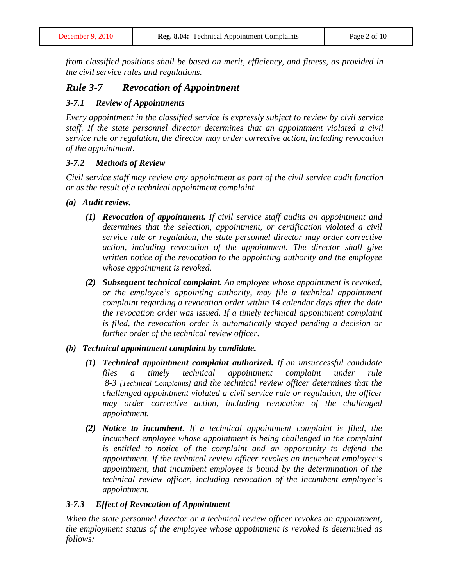*from classified positions shall be based on merit, efficiency, and fitness, as provided in the civil service rules and regulations.*

# *Rule 3-7 Revocation of Appointment*

#### *3-7.1 Review of Appointments*

*Every appointment in the classified service is expressly subject to review by civil service staff. If the state personnel director determines that an appointment violated a civil service rule or regulation, the director may order corrective action, including revocation of the appointment.*

#### *3-7.2 Methods of Review*

*Civil service staff may review any appointment as part of the civil service audit function or as the result of a technical appointment complaint.*

- *(a) Audit review.*
	- *(1) Revocation of appointment. If civil service staff audits an appointment and determines that the selection, appointment, or certification violated a civil service rule or regulation, the state personnel director may order corrective action, including revocation of the appointment. The director shall give written notice of the revocation to the appointing authority and the employee whose appointment is revoked.*
	- *(2) Subsequent technical complaint. An employee whose appointment is revoked, or the employee's appointing authority, may file a technical appointment complaint regarding a revocation order within 14 calendar days after the date the revocation order was issued. If a timely technical appointment complaint is filed, the revocation order is automatically stayed pending a decision or further order of the technical review officer.*

#### *(b) Technical appointment complaint by candidate.*

- *(1) Technical appointment complaint authorized. If an unsuccessful candidate files a timely technical appointment complaint under rule 8-3 [Technical Complaints] and the technical review officer determines that the challenged appointment violated a civil service rule or regulation, the officer may order corrective action, including revocation of the challenged appointment.*
- *(2) Notice to incumbent. If a technical appointment complaint is filed, the incumbent employee whose appointment is being challenged in the complaint is entitled to notice of the complaint and an opportunity to defend the appointment. If the technical review officer revokes an incumbent employee's appointment, that incumbent employee is bound by the determination of the technical review officer, including revocation of the incumbent employee's appointment.*

#### *3-7.3 Effect of Revocation of Appointment*

*When the state personnel director or a technical review officer revokes an appointment, the employment status of the employee whose appointment is revoked is determined as follows:*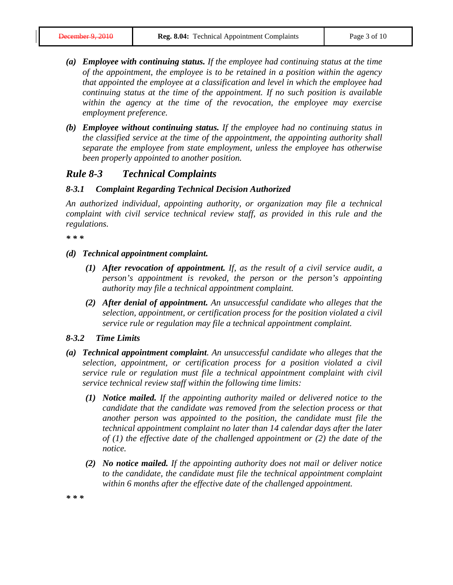- *(a) Employee with continuing status. If the employee had continuing status at the time of the appointment, the employee is to be retained in a position within the agency that appointed the employee at a classification and level in which the employee had continuing status at the time of the appointment. If no such position is available within the agency at the time of the revocation, the employee may exercise employment preference.*
- *(b) Employee without continuing status. If the employee had no continuing status in the classified service at the time of the appointment, the appointing authority shall separate the employee from state employment, unless the employee has otherwise been properly appointed to another position.*

## *Rule 8-3 Technical Complaints*

#### *8-3.1 Complaint Regarding Technical Decision Authorized*

*An authorized individual, appointing authority, or organization may file a technical complaint with civil service technical review staff, as provided in this rule and the regulations.*

*\* \* \**

- *(d) Technical appointment complaint.*
	- *(1) After revocation of appointment. If, as the result of a civil service audit, a person's appointment is revoked, the person or the person's appointing authority may file a technical appointment complaint.*
	- *(2) After denial of appointment. An unsuccessful candidate who alleges that the selection, appointment, or certification process for the position violated a civil service rule or regulation may file a technical appointment complaint.*

#### *8-3.2 Time Limits*

- *(a) Technical appointment complaint. An unsuccessful candidate who alleges that the selection, appointment, or certification process for a position violated a civil service rule or regulation must file a technical appointment complaint with civil service technical review staff within the following time limits:*
	- *(1) Notice mailed. If the appointing authority mailed or delivered notice to the candidate that the candidate was removed from the selection process or that another person was appointed to the position, the candidate must file the technical appointment complaint no later than 14 calendar days after the later of (1) the effective date of the challenged appointment or (2) the date of the notice.*
	- *(2) No notice mailed. If the appointing authority does not mail or deliver notice to the candidate, the candidate must file the technical appointment complaint within 6 months after the effective date of the challenged appointment.*

*\* \* \**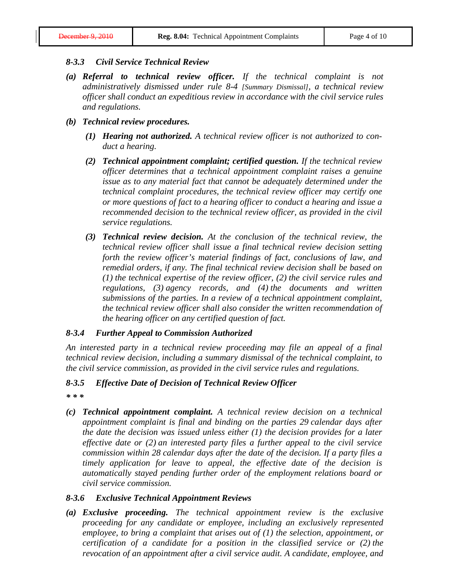#### *8-3.3 Civil Service Technical Review*

- *(a) Referral to technical review officer. If the technical complaint is not administratively dismissed under rule 8-4 [Summary Dismissal], a technical review officer shall conduct an expeditious review in accordance with the civil service rules and regulations.*
- *(b) Technical review procedures.*
	- *(1) Hearing not authorized. A technical review officer is not authorized to conduct a hearing.*
	- *(2) Technical appointment complaint; certified question. If the technical review officer determines that a technical appointment complaint raises a genuine issue as to any material fact that cannot be adequately determined under the technical complaint procedures, the technical review officer may certify one or more questions of fact to a hearing officer to conduct a hearing and issue a recommended decision to the technical review officer, as provided in the civil service regulations.*
	- *(3) Technical review decision. At the conclusion of the technical review, the technical review officer shall issue a final technical review decision setting forth the review officer's material findings of fact, conclusions of law, and remedial orders, if any. The final technical review decision shall be based on (1) the technical expertise of the review officer, (2) the civil service rules and regulations, (3) agency records, and (4) the documents and written submissions of the parties. In a review of a technical appointment complaint, the technical review officer shall also consider the written recommendation of the hearing officer on any certified question of fact.*

#### *8-3.4 Further Appeal to Commission Authorized*

*An interested party in a technical review proceeding may file an appeal of a final technical review decision, including a summary dismissal of the technical complaint, to the civil service commission, as provided in the civil service rules and regulations.*

#### *8-3.5 Effective Date of Decision of Technical Review Officer*

- *\* \* \**
- *(c) Technical appointment complaint. A technical review decision on a technical appointment complaint is final and binding on the parties 29 calendar days after the date the decision was issued unless either (1) the decision provides for a later effective date or (2) an interested party files a further appeal to the civil service commission within 28 calendar days after the date of the decision. If a party files a timely application for leave to appeal, the effective date of the decision is automatically stayed pending further order of the employment relations board or civil service commission.*

#### *8-3.6 Exclusive Technical Appointment Reviews*

*(a) Exclusive proceeding. The technical appointment review is the exclusive proceeding for any candidate or employee, including an exclusively represented employee, to bring a complaint that arises out of (1) the selection, appointment, or certification of a candidate for a position in the classified service or (2) the revocation of an appointment after a civil service audit. A candidate, employee, and*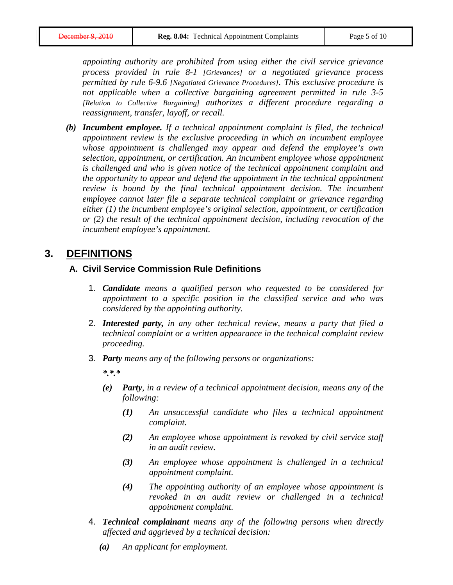*appointing authority are prohibited from using either the civil service grievance process provided in rule 8-1 [Grievances] or a negotiated grievance process permitted by rule 6-9.6 [Negotiated Grievance Procedures]. This exclusive procedure is not applicable when a collective bargaining agreement permitted in rule 3-5 [Relation to Collective Bargaining] authorizes a different procedure regarding a reassignment, transfer, layoff, or recall.*

*(b) Incumbent employee. If a technical appointment complaint is filed, the technical appointment review is the exclusive proceeding in which an incumbent employee whose appointment is challenged may appear and defend the employee's own selection, appointment, or certification. An incumbent employee whose appointment is challenged and who is given notice of the technical appointment complaint and the opportunity to appear and defend the appointment in the technical appointment review is bound by the final technical appointment decision. The incumbent employee cannot later file a separate technical complaint or grievance regarding either (1) the incumbent employee's original selection, appointment, or certification or (2) the result of the technical appointment decision, including revocation of the incumbent employee's appointment.*

# **3. DEFINITIONS**

#### **A. Civil Service Commission Rule Definitions**

- 1. *Candidate means a qualified person who requested to be considered for appointment to a specific position in the classified service and who was considered by the appointing authority.*
- 2. *Interested party, in any other technical review, means a party that filed a technical complaint or a written appearance in the technical complaint review proceeding.*
- 3. *Party means any of the following persons or organizations:*

*\*.\*.\**

- *(e) Party, in a review of a technical appointment decision, means any of the following:*
	- *(1) An unsuccessful candidate who files a technical appointment complaint.*
	- *(2) An employee whose appointment is revoked by civil service staff in an audit review.*
	- *(3) An employee whose appointment is challenged in a technical appointment complaint.*
	- *(4) The appointing authority of an employee whose appointment is revoked in an audit review or challenged in a technical appointment complaint.*
- 4. *Technical complainant means any of the following persons when directly affected and aggrieved by a technical decision:*
	- *(a) An applicant for employment.*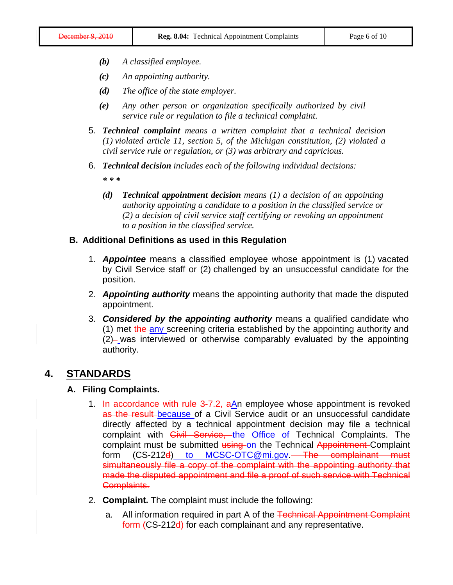- *(b) A classified employee.*
- *(c) An appointing authority.*
- *(d) The office of the state employer.*
- *(e) Any other person or organization specifically authorized by civil service rule or regulation to file a technical complaint.*
- 5. *Technical complaint means a written complaint that a technical decision (1) violated article 11, section 5, of the Michigan constitution, (2) violated a civil service rule or regulation, or (3) was arbitrary and capricious.*
- 6. *Technical decision includes each of the following individual decisions:*

*\* \* \**

*(d) Technical appointment decision means (1) a decision of an appointing authority appointing a candidate to a position in the classified service or (2) a decision of civil service staff certifying or revoking an appointment to a position in the classified service.*

#### **B. Additional Definitions as used in this Regulation**

- 1. *Appointee* means a classified employee whose appointment is (1) vacated by Civil Service staff or (2) challenged by an unsuccessful candidate for the position.
- 2. *Appointing authority* means the appointing authority that made the disputed appointment.
- 3. *Considered by the appointing authority* means a qualified candidate who (1) met the any screening criteria established by the appointing authority and  $(2)$ - was interviewed or otherwise comparably evaluated by the appointing authority.

### **4. STANDARDS**

#### **A. Filing Complaints.**

- 1. In accordance with rule 3-7.2, aAn employee whose appointment is revoked as the result because of a Civil Service audit or an unsuccessful candidate directly affected by a technical appointment decision may file a technical complaint with *Civil Service*, the Office of Technical Complaints. The complaint must be submitted using on the Technical Appointment Complaint form (CS-212d) to [MCSC-OTC@mi.gov.](mailto:MCSC-OTC@mi.gov)—The complainant must simultaneously file a copy of the complaint with the appointing authority that made the disputed appointment and file a proof of such service with Technical Complaints.
- 2. **Complaint.** The complaint must include the following:
	- a. All information required in part A of the Technical Appointment Complaint form (CS-212d) for each complainant and any representative.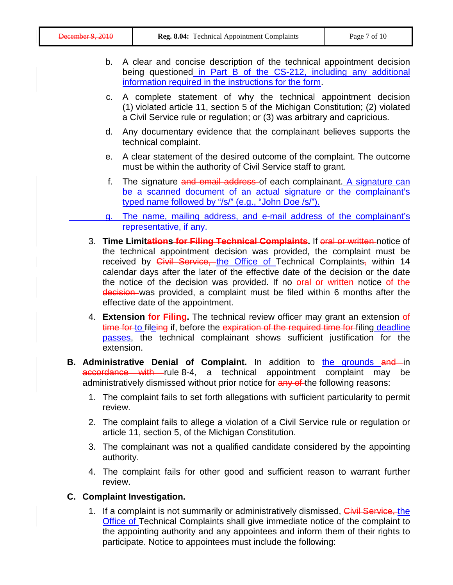|                                                                                                                                                                                                                                                                                                                                                                                                                                                   | b. A clear and concise description of the technical appointment decision<br>being questioned in Part B of the CS-212, including any additional<br>information required in the instructions for the form. |         |                                                                                                                                                                                                                                                                     |
|---------------------------------------------------------------------------------------------------------------------------------------------------------------------------------------------------------------------------------------------------------------------------------------------------------------------------------------------------------------------------------------------------------------------------------------------------|----------------------------------------------------------------------------------------------------------------------------------------------------------------------------------------------------------|---------|---------------------------------------------------------------------------------------------------------------------------------------------------------------------------------------------------------------------------------------------------------------------|
| C.                                                                                                                                                                                                                                                                                                                                                                                                                                                |                                                                                                                                                                                                          |         | A complete statement of why the technical appointment decision<br>(1) violated article 11, section 5 of the Michigan Constitution; (2) violated<br>a Civil Service rule or regulation; or (3) was arbitrary and capricious.                                         |
|                                                                                                                                                                                                                                                                                                                                                                                                                                                   |                                                                                                                                                                                                          | d.      | Any documentary evidence that the complainant believes supports the<br>technical complaint.                                                                                                                                                                         |
|                                                                                                                                                                                                                                                                                                                                                                                                                                                   |                                                                                                                                                                                                          | е.      | A clear statement of the desired outcome of the complaint. The outcome<br>must be within the authority of Civil Service staff to grant.                                                                                                                             |
|                                                                                                                                                                                                                                                                                                                                                                                                                                                   |                                                                                                                                                                                                          |         | f. The signature and email address of each complainant. A signature can<br>be a scanned document of an actual signature or the complainant's<br>typed name followed by "/s/" (e.g., "John Doe /s/").                                                                |
|                                                                                                                                                                                                                                                                                                                                                                                                                                                   |                                                                                                                                                                                                          | g.      | The name, mailing address, and e-mail address of the complainant's<br>representative, if any.                                                                                                                                                                       |
| the technical appointment decision was provided, the complaint must be<br>received by <i>Civil Service</i> , the Office of Technical Complaints, within 14<br>calendar days after the later of the effective date of the decision or the date<br>the notice of the decision was provided. If no oral or written notice of the<br>decision was provided, a complaint must be filed within 6 months after the<br>effective date of the appointment. |                                                                                                                                                                                                          |         |                                                                                                                                                                                                                                                                     |
|                                                                                                                                                                                                                                                                                                                                                                                                                                                   |                                                                                                                                                                                                          |         | 4. Extension-for Filing. The technical review officer may grant an extension of<br>time for to fileing if, before the expiration of the required time for filing deadline<br>passes, the technical complainant shows sufficient justification for the<br>extension. |
| <b>B. Administrative Denial of Complaint.</b> In addition to the grounds and in<br>accordance with rule 8-4, a technical appointment<br>complaint may<br>be<br>administratively dismissed without prior notice for any of the following reasons:                                                                                                                                                                                                  |                                                                                                                                                                                                          |         |                                                                                                                                                                                                                                                                     |
|                                                                                                                                                                                                                                                                                                                                                                                                                                                   |                                                                                                                                                                                                          | review. | 1. The complaint fails to set forth allegations with sufficient particularity to permit                                                                                                                                                                             |
|                                                                                                                                                                                                                                                                                                                                                                                                                                                   |                                                                                                                                                                                                          |         | 2. The complaint fails to allege a violation of a Civil Service rule or regulation or<br>article 11, section 5, of the Michigan Constitution.                                                                                                                       |
|                                                                                                                                                                                                                                                                                                                                                                                                                                                   | 3.                                                                                                                                                                                                       |         | The complainant was not a qualified candidate considered by the appointing<br>authority.                                                                                                                                                                            |
|                                                                                                                                                                                                                                                                                                                                                                                                                                                   |                                                                                                                                                                                                          |         |                                                                                                                                                                                                                                                                     |

4. The complaint fails for other good and sufficient reason to warrant further review.

## **C. Complaint Investigation.**

1. If a complaint is not summarily or administratively dismissed, Civil Service, the Office of Technical Complaints shall give immediate notice of the complaint to the appointing authority and any appointees and inform them of their rights to participate. Notice to appointees must include the following: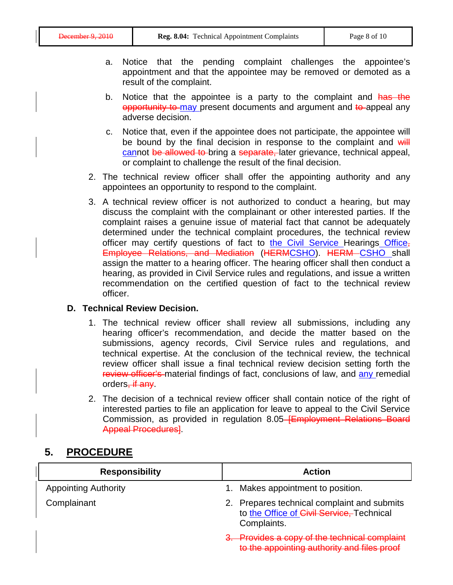- a. Notice that the pending complaint challenges the appointee's appointment and that the appointee may be removed or demoted as a result of the complaint.
- b. Notice that the appointee is a party to the complaint and has the opportunity to may present documents and argument and to appeal any adverse decision.
- c. Notice that, even if the appointee does not participate, the appointee will be bound by the final decision in response to the complaint and will cannot be allowed to bring a separate, later grievance, technical appeal, or complaint to challenge the result of the final decision.
- 2. The technical review officer shall offer the appointing authority and any appointees an opportunity to respond to the complaint.
- 3. A technical review officer is not authorized to conduct a hearing, but may discuss the complaint with the complainant or other interested parties. If the complaint raises a genuine issue of material fact that cannot be adequately determined under the technical complaint procedures, the technical review officer may certify questions of fact to the Civil Service Hearings Office, Employee Relations, and Mediation (HERMCSHO). HERM CSHO shall assign the matter to a hearing officer. The hearing officer shall then conduct a hearing, as provided in Civil Service rules and regulations, and issue a written recommendation on the certified question of fact to the technical review officer.

#### **D. Technical Review Decision.**

- 1. The technical review officer shall review all submissions, including any hearing officer's recommendation, and decide the matter based on the submissions, agency records, Civil Service rules and regulations, and technical expertise. At the conclusion of the technical review, the technical review officer shall issue a final technical review decision setting forth the review officer's material findings of fact, conclusions of law, and any remedial orders, if any.
- 2. The decision of a technical review officer shall contain notice of the right of interested parties to file an application for leave to appeal to the Civil Service Commission, as provided in regulation 8.05 **[Employment Relations Board** Appeal Procedures].

# **5. PROCEDURE**

| <b>Responsibility</b>       | Action                                                                                                  |
|-----------------------------|---------------------------------------------------------------------------------------------------------|
| <b>Appointing Authority</b> | Makes appointment to position.                                                                          |
| Complainant                 | 2. Prepares technical complaint and submits<br>to the Office of Civil Service, Technical<br>Complaints. |
|                             | 3. Provides a copy of the technical complaint<br>to the appointing authority and files proof            |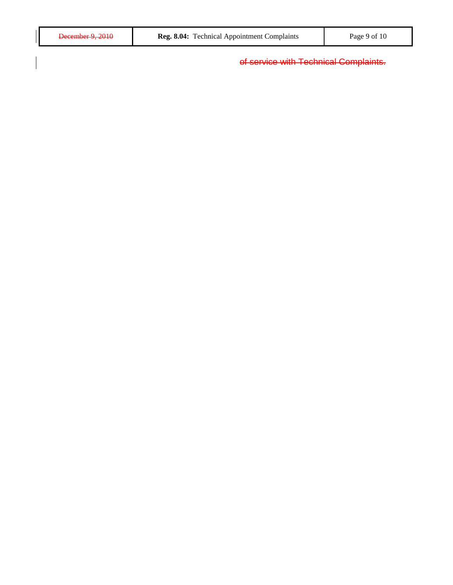of service with Technical Complaints.